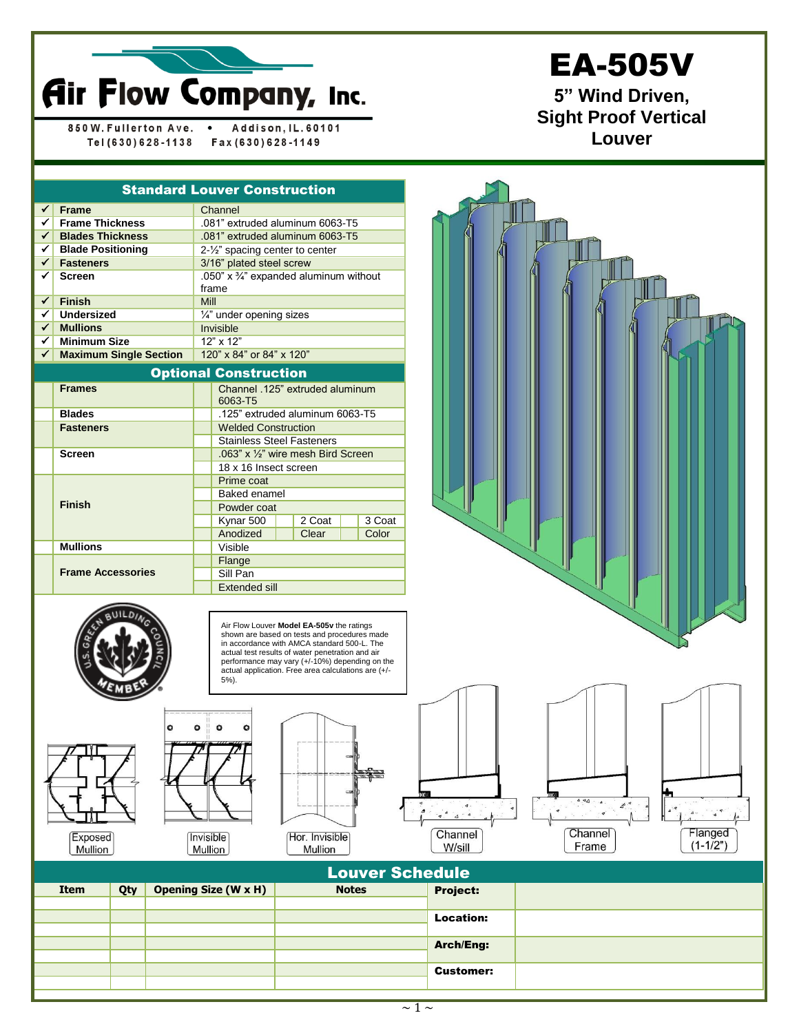

850 W. Fullerton Ave.  $\bullet$ Addison, IL. 60101 Tel (630) 628-1138 Fax (630) 628-1149

## EA-505V

**5" Wind Driven, Sight Proof Vertical Louver**

| <b>Standard Louver Construction</b> |                               |                                                            |                                            |  |        |  |        |  |  |  |  |
|-------------------------------------|-------------------------------|------------------------------------------------------------|--------------------------------------------|--|--------|--|--------|--|--|--|--|
| $\checkmark$                        | <b>Frame</b>                  | Channel                                                    |                                            |  |        |  |        |  |  |  |  |
| $\checkmark$                        | <b>Frame Thickness</b>        | .081" extruded aluminum 6063-T5                            |                                            |  |        |  |        |  |  |  |  |
| $\checkmark$                        | <b>Blades Thickness</b>       | .081" extruded aluminum 6063-T5                            |                                            |  |        |  |        |  |  |  |  |
| ✓∥                                  | <b>Blade Positioning</b>      |                                                            | 2-1/2" spacing center to center            |  |        |  |        |  |  |  |  |
| ✓                                   | <b>Fasteners</b>              | 3/16" plated steel screw                                   |                                            |  |        |  |        |  |  |  |  |
| ✓                                   | <b>Screen</b>                 | .050" x $\frac{3}{4}$ " expanded aluminum without<br>frame |                                            |  |        |  |        |  |  |  |  |
| $\checkmark$                        | <b>Finish</b>                 | Mill                                                       |                                            |  |        |  |        |  |  |  |  |
| ✓                                   | <b>Undersized</b>             |                                                            | 1/4" under opening sizes                   |  |        |  |        |  |  |  |  |
| $\checkmark$                        | <b>Mullions</b>               |                                                            | Invisible                                  |  |        |  |        |  |  |  |  |
| ✓▏                                  | <b>Minimum Size</b>           | 12" x 12"                                                  |                                            |  |        |  |        |  |  |  |  |
| ✓                                   | <b>Maximum Single Section</b> | 120" x 84" or 84" x 120"                                   |                                            |  |        |  |        |  |  |  |  |
|                                     | <b>Optional Construction</b>  |                                                            |                                            |  |        |  |        |  |  |  |  |
|                                     | <b>Frames</b>                 |                                                            | Channel .125" extruded aluminum<br>6063-T5 |  |        |  |        |  |  |  |  |
|                                     | <b>Blades</b>                 |                                                            | .125" extruded aluminum 6063-T5            |  |        |  |        |  |  |  |  |
|                                     | <b>Fasteners</b>              | <b>Welded Construction</b>                                 |                                            |  |        |  |        |  |  |  |  |
|                                     |                               | <b>Stainless Steel Fasteners</b>                           |                                            |  |        |  |        |  |  |  |  |
|                                     | <b>Screen</b>                 |                                                            | .063" x 1/2" wire mesh Bird Screen         |  |        |  |        |  |  |  |  |
|                                     |                               |                                                            | 18 x 16 Insect screen                      |  |        |  |        |  |  |  |  |
|                                     |                               | Prime coat                                                 |                                            |  |        |  |        |  |  |  |  |
|                                     |                               | <b>Baked enamel</b>                                        |                                            |  |        |  |        |  |  |  |  |
|                                     | <b>Finish</b>                 |                                                            | Powder coat                                |  |        |  |        |  |  |  |  |
|                                     |                               |                                                            | Kynar 500                                  |  | 2 Coat |  | 3 Coat |  |  |  |  |
|                                     |                               |                                                            | Anodized                                   |  | Clear  |  | Color  |  |  |  |  |
|                                     | <b>Mullions</b>               |                                                            | Visible                                    |  |        |  |        |  |  |  |  |
|                                     |                               | Flange                                                     |                                            |  |        |  |        |  |  |  |  |
|                                     | <b>Frame Accessories</b>      | Sill Pan                                                   |                                            |  |        |  |        |  |  |  |  |
|                                     |                               | Extended sill                                              |                                            |  |        |  |        |  |  |  |  |



Air Flow Louver **Model EA-505v** the ratings shown are based on tests and procedures made in accordance with AMCA standard 500-L. The actual test results of water penetration and air performance may vary (+/-10%) depending on the actual application. Free area calculations are (+/- 5%).



Mullion





Mullion







| <b>Louver Schedule</b> |     |                             |              |                  |  |  |  |  |  |
|------------------------|-----|-----------------------------|--------------|------------------|--|--|--|--|--|
| Item                   | Qty | <b>Opening Size (W x H)</b> | <b>Notes</b> | Project:         |  |  |  |  |  |
|                        |     |                             |              | <b>Location:</b> |  |  |  |  |  |
|                        |     |                             |              | <b>Arch/Eng:</b> |  |  |  |  |  |
|                        |     |                             |              | <b>Customer:</b> |  |  |  |  |  |